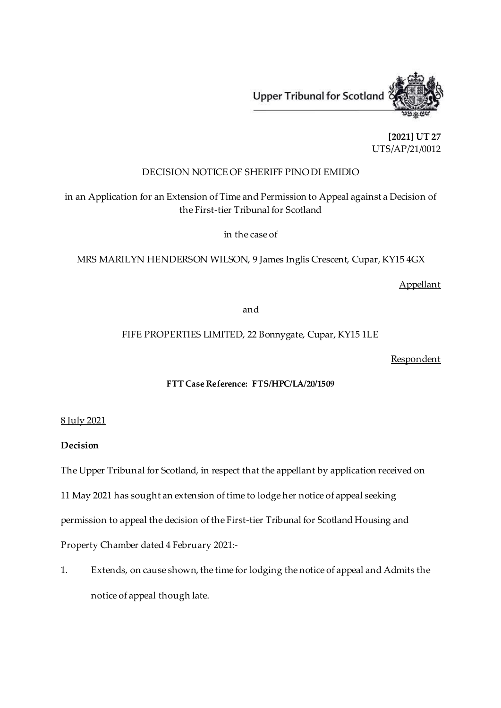

**[2021] UT 27** UTS/AP/21/0012

# DECISION NOTICE OF SHERIFF PINO DI EMIDIO

in an Application for an Extension of Time and Permission to Appeal against a Decision of the First-tier Tribunal for Scotland

in the case of

MRS MARILYN HENDERSON WILSON, 9 James Inglis Crescent, Cupar, KY15 4GX

# Appellant

and

# FIFE PROPERTIES LIMITED, 22 Bonnygate, Cupar, KY15 1LE

Respondent

## **FTT Case Reference: FTS/HPC/LA/20/1509**

### 8 July 2021

### **Decision**

The Upper Tribunal for Scotland, in respect that the appellant by application received on

11 May 2021 has sought an extension of time to lodge her notice of appeal seeking

permission to appeal the decision of the First-tier Tribunal for Scotland Housing and

Property Chamber dated 4 February 2021:-

1. Extends, on cause shown, the time for lodging the notice of appeal and Admits the notice of appeal though late.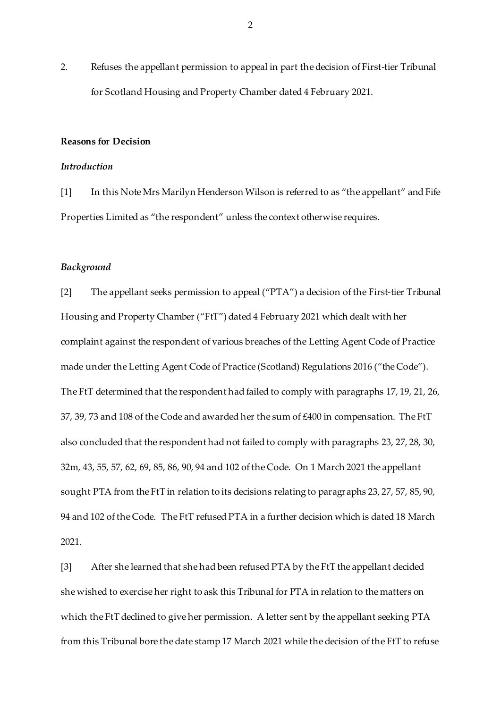2. Refuses the appellant permission to appeal in part the decision of First-tier Tribunal for Scotland Housing and Property Chamber dated 4 February 2021.

#### **Reasons for Decision**

### *Introduction*

[1] In this Note Mrs Marilyn Henderson Wilson is referred to as "the appellant" and Fife Properties Limited as "the respondent" unless the context otherwise requires.

### *Background*

[2] The appellant seeks permission to appeal ("PTA") a decision of the First-tier Tribunal Housing and Property Chamber ("FtT") dated 4 February 2021 which dealt with her complaint against the respondent of various breaches of the Letting Agent Code of Practice made under the Letting Agent Code of Practice (Scotland) Regulations 2016 ("the Code"). The FtT determined that the respondent had failed to comply with paragraphs 17, 19, 21, 26, 37, 39, 73 and 108 of the Code and awarded her the sum of £400 in compensation. The FtT also concluded that the respondent had not failed to comply with paragraphs 23, 27, 28, 30, 32m, 43, 55, 57, 62, 69, 85, 86, 90, 94 and 102 of the Code. On 1 March 2021 the appellant sought PTA from the FtT in relation to its decisions relating to paragraphs 23, 27, 57, 85, 90, 94 and 102 of the Code. The FtT refused PTA in a further decision which is dated 18 March 2021.

[3] After she learned that she had been refused PTA by the FtT the appellant decided she wished to exercise her right to ask this Tribunal for PTA in relation to the matters on which the FtT declined to give her permission. A letter sent by the appellant seeking PTA from this Tribunal bore the date stamp 17 March 2021 while the decision of the FtT to refuse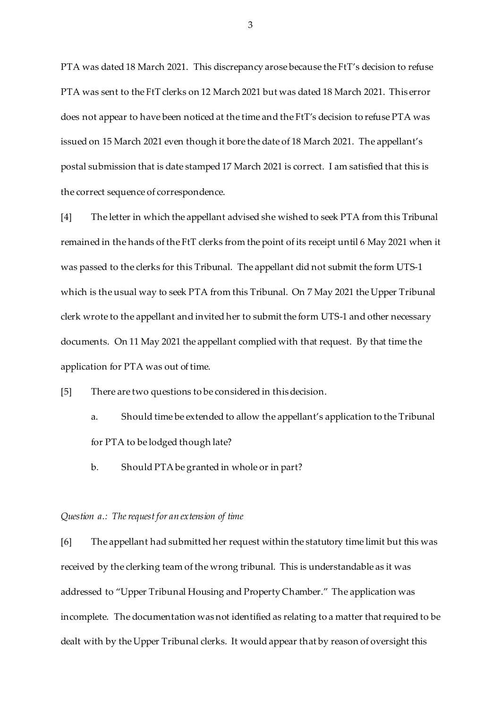PTA was dated 18 March 2021. This discrepancy arose because the FtT's decision to refuse PTA was sent to the FtT clerks on 12 March 2021 but was dated 18 March 2021. This error does not appear to have been noticed at the time and the FtT's decision to refuse PTA was issued on 15 March 2021 even though it bore the date of 18 March 2021. The appellant's postal submission that is date stamped 17 March 2021 is correct. I am satisfied that this is the correct sequence of correspondence.

[4] The letter in which the appellant advised she wished to seek PTA from this Tribunal remained in the hands of the FtT clerks from the point of its receipt until 6 May 2021 when it was passed to the clerks for this Tribunal. The appellant did not submit the form UTS-1 which is the usual way to seek PTA from this Tribunal. On 7 May 2021 the Upper Tribunal clerk wrote to the appellant and invited her to submit the form UTS-1 and other necessary documents. On 11 May 2021 the appellant complied with that request. By that time the application for PTA was out of time.

[5] There are two questions to be considered in this decision.

- a. Should time be extended to allow the appellant's application to the Tribunal for PTA to be lodged though late?
- b. Should PTA be granted in whole or in part?

#### *Question a.: The request for an extension of time*

[6] The appellant had submitted her request within the statutory time limit but this was received by the clerking team of the wrong tribunal. This is understandable as it was addressed to "Upper Tribunal Housing and Property Chamber." The application was incomplete. The documentation was not identified as relating to a matter that required to be dealt with by the Upper Tribunal clerks. It would appear that by reason of oversight this

3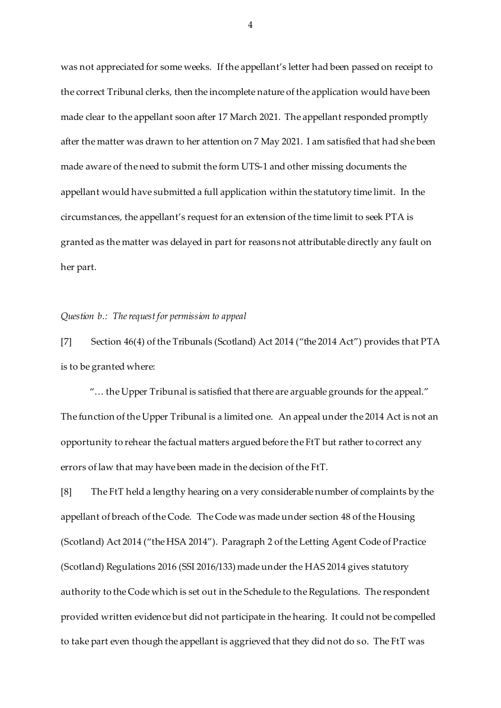was not appreciated for some weeks. If the appellant's letter had been passed on receipt to the correct Tribunal clerks, then the incomplete nature of the application would have been made clear to the appellant soon after 17 March 2021. The appellant responded promptly after the matter was drawn to her attention on 7 May 2021. I am satisfied that had she been made aware of the need to submit the form UTS-1 and other missing documents the appellant would have submitted a full application within the statutory time limit. In the circumstances, the appellant's request for an extension of the time limit to seek PTA is granted as the matter was delayed in part for reasons not attributable directly any fault on her part.

#### *Question b.: The request for permission to appeal*

[7] Section 46(4) of the Tribunals (Scotland) Act 2014 ("the 2014 Act") provides that PTA is to be granted where:

"… the Upper Tribunal is satisfied that there are arguable grounds for the appeal." The function of the Upper Tribunal is a limited one. An appeal under the 2014 Act is not an opportunity to rehear the factual matters argued before the FtT but rather to correct any errors of law that may have been made in the decision of the FtT.

[8] The FtT held a lengthy hearing on a very considerable number of complaints by the appellant of breach of the Code. The Code was made under section 48 of the Housing (Scotland) Act 2014 ("the HSA 2014"). Paragraph 2 of the Letting Agent Code of Practice (Scotland) Regulations 2016 (SSI 2016/133) made under the HAS 2014 gives statutory authority to the Code which is set out in the Schedule to the Regulations. The respondent provided written evidence but did not participate in the hearing. It could not be compelled to take part even though the appellant is aggrieved that they did not do so. The FtT was

4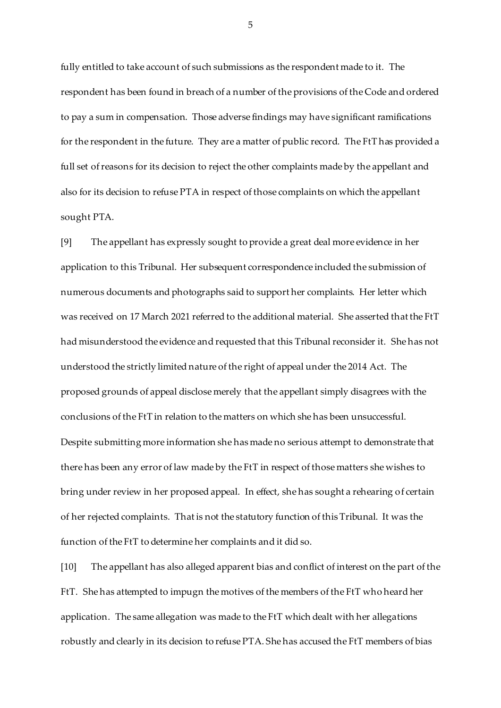fully entitled to take account of such submissions as the respondent made to it. The respondent has been found in breach of a number of the provisions of the Code and ordered to pay a sum in compensation. Those adverse findings may have significant ramifications for the respondent in the future. They are a matter of public record. The FtT has provided a full set of reasons for its decision to reject the other complaints made by the appellant and also for its decision to refuse PTA in respect of those complaints on which the appellant sought PTA.

[9] The appellant has expressly sought to provide a great deal more evidence in her application to this Tribunal. Her subsequent correspondence included the submission of numerous documents and photographs said to support her complaints. Her letter which was received on 17 March 2021 referred to the additional material. She asserted that the FtT had misunderstood the evidence and requested that this Tribunal reconsider it. She has not understood the strictly limited nature of the right of appeal under the 2014 Act. The proposed grounds of appeal disclose merely that the appellant simply disagrees with the conclusions of the FtT in relation to the matters on which she has been unsuccessful. Despite submitting more information she has made no serious attempt to demonstrate that there has been any error of law made by the FtT in respect of those matters she wishes to bring under review in her proposed appeal. In effect, she has sought a rehearing of certain of her rejected complaints. That is not the statutory function of this Tribunal. It was the function of the FtT to determine her complaints and it did so.

[10] The appellant has also alleged apparent bias and conflict of interest on the part of the FtT. She has attempted to impugn the motives of the members of the FtT who heard her application. The same allegation was made to the FtT which dealt with her allegations robustly and clearly in its decision to refuse PTA. She has accused the FtT members of bias

5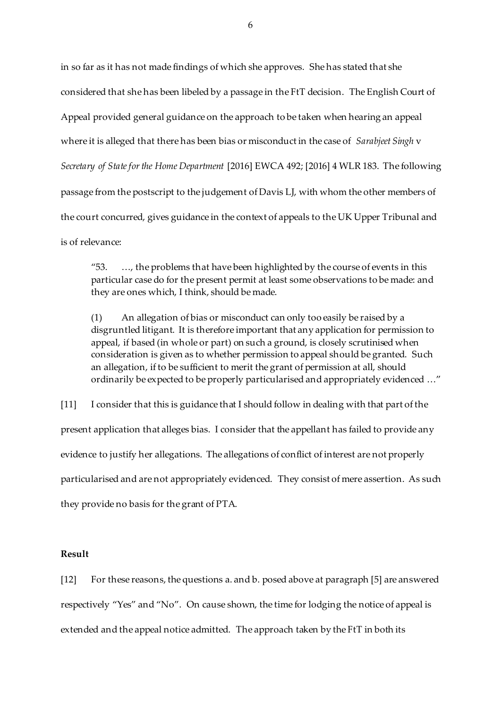in so far as it has not made findings of which she approves. She has stated that she considered that she has been libeled by a passage in the FtT decision. The English Court of Appeal provided general guidance on the approach to be taken when hearing an appeal where it is alleged that there has been bias or misconduct in the case of *Sarabjeet Singh* v *Secretary of State for the Home Department* [2016] EWCA 492; [2016] 4 WLR 183. The following passage from the postscript to the judgement of Davis LJ, with whom the other members of the court concurred, gives guidance in the context of appeals to the UK Upper Tribunal and is of relevance:

"53. …, the problems that have been highlighted by the course of events in this particular case do for the present permit at least some observations to be made: and they are ones which, I think, should be made.

(1) An allegation of bias or misconduct can only too easily be raised by a disgruntled litigant. It is therefore important that any application for permission to appeal, if based (in whole or part) on such a ground, is closely scrutinised when consideration is given as to whether permission to appeal should be granted. Such an allegation, if to be sufficient to merit the grant of permission at all, should ordinarily be expected to be properly particularised and appropriately evidenced …"

[11] I consider that this is guidance that I should follow in dealing with that part of the present application that alleges bias. I consider that the appellant has failed to provide any evidence to justify her allegations. The allegations of conflict of interest are not properly particularised and are not appropriately evidenced. They consist of mere assertion. As such they provide no basis for the grant of PTA.

### **Result**

[12] For these reasons, the questions a. and b. posed above at paragraph [5] are answered respectively "Yes" and "No". On cause shown, the time for lodging the notice of appeal is extended and the appeal notice admitted. The approach taken by the FtT in both its